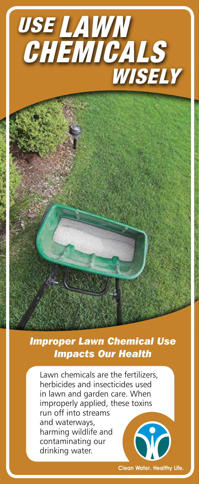

## *Improper Lawn Chemical Use Impacts Our Health*

Lawn chemicals are the fertilizers, herbicides and insecticides used in lawn and garden care. When improperly applied, these toxins run off into streams and waterways, **Sid** harming wildlife and contaminating our drinking water.

**Clean Water. Healthy Life.**